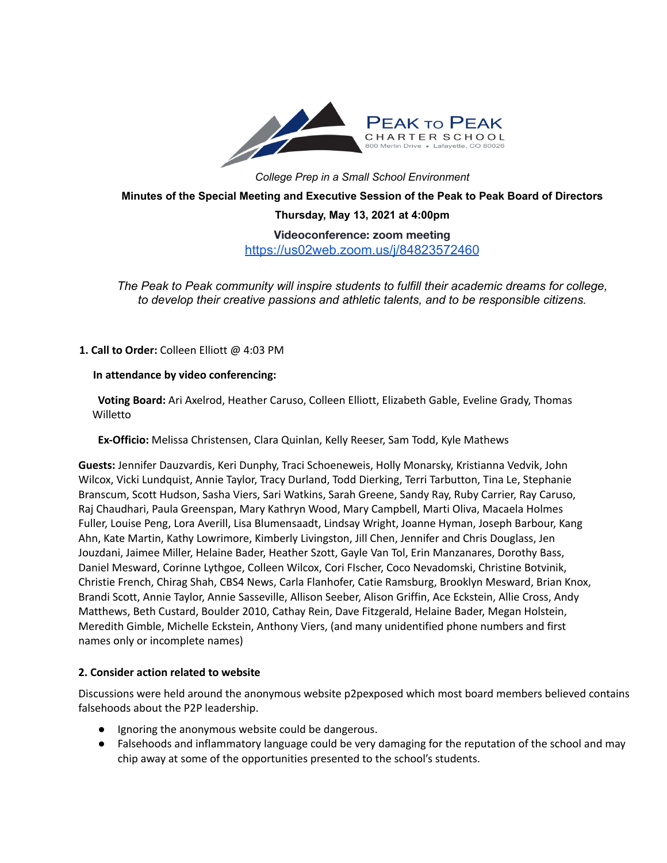

*College Prep in a Small School Environment*

**Minutes of the Special Meeting and Executive Session of the Peak to Peak Board of Directors**

**Thursday, May 13, 2021 at 4:00pm**

**Videoconference: zoom meeting** <https://us02web.zoom.us/j/84823572460>

*The Peak to Peak community will inspire students to fulfill their academic dreams for college, to develop their creative passions and athletic talents, and to be responsible citizens.*

**1. Call to Order:** Colleen Elliott @ 4:03 PM

### **In attendance by video conferencing:**

**Voting Board:** Ari Axelrod, Heather Caruso, Colleen Elliott, Elizabeth Gable, Eveline Grady, Thomas **Willetto** 

**Ex-Officio:** Melissa Christensen, Clara Quinlan, Kelly Reeser, Sam Todd, Kyle Mathews

**Guests:** Jennifer Dauzvardis, Keri Dunphy, Traci Schoeneweis, Holly Monarsky, Kristianna Vedvik, John Wilcox, Vicki Lundquist, Annie Taylor, Tracy Durland, Todd Dierking, Terri Tarbutton, Tina Le, Stephanie Branscum, Scott Hudson, Sasha Viers, Sari Watkins, Sarah Greene, Sandy Ray, Ruby Carrier, Ray Caruso, Raj Chaudhari, Paula Greenspan, Mary Kathryn Wood, Mary Campbell, Marti Oliva, Macaela Holmes Fuller, Louise Peng, Lora Averill, Lisa Blumensaadt, Lindsay Wright, Joanne Hyman, Joseph Barbour, Kang Ahn, Kate Martin, Kathy Lowrimore, Kimberly Livingston, Jill Chen, Jennifer and Chris Douglass, Jen Jouzdani, Jaimee Miller, Helaine Bader, Heather Szott, Gayle Van Tol, Erin Manzanares, Dorothy Bass, Daniel Mesward, Corinne Lythgoe, Colleen Wilcox, Cori FIscher, Coco Nevadomski, Christine Botvinik, Christie French, Chirag Shah, CBS4 News, Carla Flanhofer, Catie Ramsburg, Brooklyn Mesward, Brian Knox, Brandi Scott, Annie Taylor, Annie Sasseville, Allison Seeber, Alison Griffin, Ace Eckstein, Allie Cross, Andy Matthews, Beth Custard, Boulder 2010, Cathay Rein, Dave Fitzgerald, Helaine Bader, Megan Holstein, Meredith Gimble, Michelle Eckstein, Anthony Viers, (and many unidentified phone numbers and first names only or incomplete names)

## **2. Consider action related to website**

Discussions were held around the anonymous website p2pexposed which most board members believed contains falsehoods about the P2P leadership.

- Ignoring the anonymous website could be dangerous.
- Falsehoods and inflammatory language could be very damaging for the reputation of the school and may chip away at some of the opportunities presented to the school's students.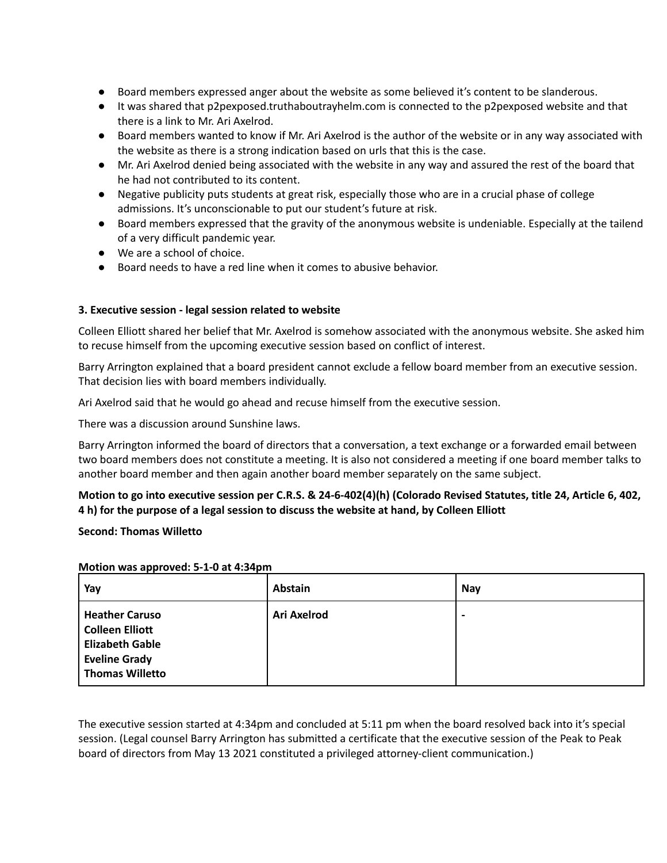- Board members expressed anger about the website as some believed it's content to be slanderous.
- It was shared that p2pexposed.truthaboutrayhelm.com is connected to the p2pexposed website and that there is a link to Mr. Ari Axelrod.
- Board members wanted to know if Mr. Ari Axelrod is the author of the website or in any way associated with the website as there is a strong indication based on urls that this is the case.
- Mr. Ari Axelrod denied being associated with the website in any way and assured the rest of the board that he had not contributed to its content.
- Negative publicity puts students at great risk, especially those who are in a crucial phase of college admissions. It's unconscionable to put our student's future at risk.
- Board members expressed that the gravity of the anonymous website is undeniable. Especially at the tailend of a very difficult pandemic year.
- We are a school of choice.
- Board needs to have a red line when it comes to abusive behavior.

# **3. Executive session - legal session related to website**

Colleen Elliott shared her belief that Mr. Axelrod is somehow associated with the anonymous website. She asked him to recuse himself from the upcoming executive session based on conflict of interest.

Barry Arrington explained that a board president cannot exclude a fellow board member from an executive session. That decision lies with board members individually.

Ari Axelrod said that he would go ahead and recuse himself from the executive session.

There was a discussion around Sunshine laws.

Barry Arrington informed the board of directors that a conversation, a text exchange or a forwarded email between two board members does not constitute a meeting. It is also not considered a meeting if one board member talks to another board member and then again another board member separately on the same subject.

# Motion to go into executive session per C.R.S. & 24-6-402(4)(h) (Colorado Revised Statutes, title 24, Article 6, 402, **4 h) for the purpose of a legal session to discuss the website at hand, by Colleen Elliott**

### **Second: Thomas Willetto**

#### **Motion was approved: 5-1-0 at 4:34pm**

| Yay                                                                                                                         | <b>Abstain</b>     | Nay                      |
|-----------------------------------------------------------------------------------------------------------------------------|--------------------|--------------------------|
| <b>Heather Caruso</b><br><b>Colleen Elliott</b><br><b>Elizabeth Gable</b><br><b>Eveline Grady</b><br><b>Thomas Willetto</b> | <b>Ari Axelrod</b> | $\overline{\phantom{0}}$ |

The executive session started at 4:34pm and concluded at 5:11 pm when the board resolved back into it's special session. (Legal counsel Barry Arrington has submitted a certificate that the executive session of the Peak to Peak board of directors from May 13 2021 constituted a privileged attorney-client communication.)